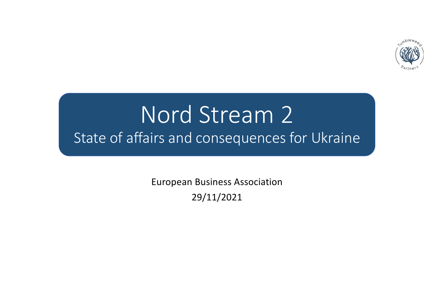

# Nord Stream 2 State of affairs and consequences for Ukraine

European Business Association 29/11/2021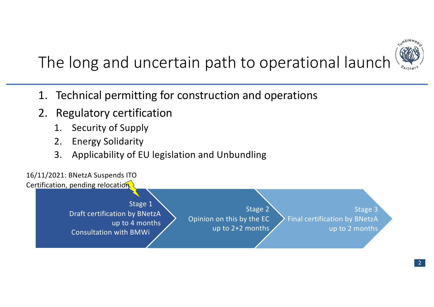

## The long and uncertain path to operational launch

- 1. Technical permitting for construction and operations
- 2. Regulatory certification
	- 1. Security of Supply
	- 2. Energy Solidarity
	- 3. Applicability of EU legislation and Unbundling

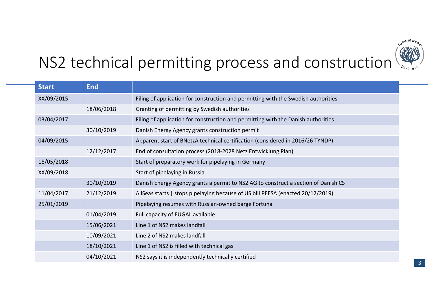

## NS2 technical permitting process and construction

| <b>Start</b> | <b>End</b> |                                                                                    |
|--------------|------------|------------------------------------------------------------------------------------|
| XX/09/2015   |            | Filing of application for construction and permitting with the Swedish authorities |
|              | 18/06/2018 | Granting of permitting by Swedish authorities                                      |
| 03/04/2017   |            | Filing of application for construction and permitting with the Danish authorities  |
|              | 30/10/2019 | Danish Energy Agency grants construction permit                                    |
| 04/09/2015   |            | Apparent start of BNetzA technical certification (considered in 2016/26 TYNDP)     |
|              | 12/12/2017 | End of consultation process (2018-2028 Netz Entwicklung Plan)                      |
| 18/05/2018   |            | Start of preparatory work for pipelaying in Germany                                |
| XX/09/2018   |            | Start of pipelaying in Russia                                                      |
|              | 30/10/2019 | Danish Energy Agency grants a permit to NS2 AG to construct a section of Danish CS |
| 11/04/2017   | 21/12/2019 | AllSeas starts   stops pipelaying because of US bill PEESA (enacted 20/12/2019)    |
| 25/01/2019   |            | Pipelaying resumes with Russian-owned barge Fortuna                                |
|              | 01/04/2019 | Full capacity of EUGAL available                                                   |
|              | 15/06/2021 | Line 1 of NS2 makes landfall                                                       |
|              | 10/09/2021 | Line 2 of NS2 makes landfall                                                       |
|              | 18/10/2021 | Line 1 of NS2 is filled with technical gas                                         |
|              | 04/10/2021 | NS2 says it is independently technically certified                                 |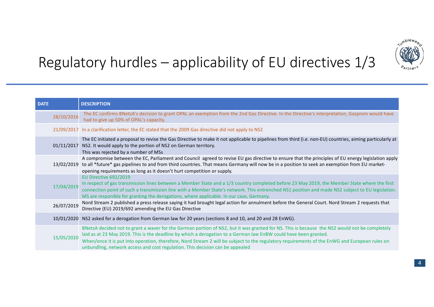

### Regulatory hurdles – applicability of EU directives 1/3

| <b>DATE</b> | <b>DESCRIPTION</b>                                                                                                                                                                                                                                                                                                                                                                                                                                                                                  |
|-------------|-----------------------------------------------------------------------------------------------------------------------------------------------------------------------------------------------------------------------------------------------------------------------------------------------------------------------------------------------------------------------------------------------------------------------------------------------------------------------------------------------------|
| 28/10/2016  | The EC confirms BNetzA's decision to grant OPAL an exemption from the 2nd Gas Directive. In the Directive's interpretation, Gazprom would have<br>had to give up 50% of OPAL's capacity.                                                                                                                                                                                                                                                                                                            |
|             | 21/09/2017 In a clarification letter, the EC stated that the 2009 Gas directive did not apply to NS2                                                                                                                                                                                                                                                                                                                                                                                                |
| 01/11/2017  | The EC initiated a proposal to revise the Gas Directive to make it not applicable to pipelines from third (i.e. non-EU) countries, aiming particularly at<br>NS2. It would apply to the portion of NS2 on German territory.<br>This was rejected by a number of MSs                                                                                                                                                                                                                                 |
|             | A compromise between the EC, Parliament and Council agreed to revise EU gas directive to ensure that the principles of EU energy legislation apply<br>13/02/2019 to all *future* gas pipelines to and from third countries. That means Germany will now be in a position to seek an exemption from EU market-<br>opening requirements as long as it doesn't hurt competition or supply.                                                                                                             |
| 17/04/2019  | EU Directive 692/2019<br>In respect of gas transmission lines between a Member State and a 1/3 country completed before 23 May 2019, the Member State where the first<br>connection point of such a transmission line with a Member State's network. This entrenched NS1 position and made NS2 subject to EU legislation.<br>MS are responible for granting the derogations, where applicable. In our case, Germany.                                                                                |
| 26/07/2019  | Nord Stream 2 published a press release saying it had brought legal action for annulment before the General Court. Nord Stream 2 requests that<br>Directive (EU) 2019/692 amending the EU Gas Directive                                                                                                                                                                                                                                                                                             |
| 10/01/2020  | NS2 asked for a derogation from German law for 20 years (sections 8 and 10, and 20 and 28 EnWG).                                                                                                                                                                                                                                                                                                                                                                                                    |
| 15/05/2020  | BNetzA decided not to grant a waver for the German portion of NS2, but it was granted for NS. This is because the NS2 would not be completely<br>laid as at 23 May 2019. This is the deadline by which a derogation to a German law EnBW could have been granted.<br>When/once it is put into operation, therefore, Nord Stream 2 will be subject to the regulatory requirements of the EnWG and European rules on<br>unbundling, network access and cost regulation. This decision can be appealed |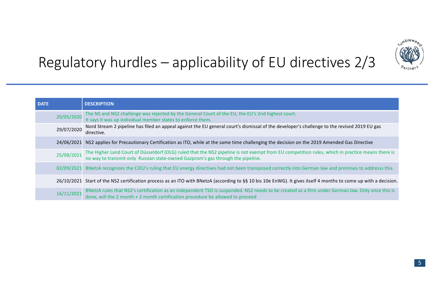

### Regulatory hurdles – applicability of EU directives 2/3

| <b>DATE</b> |            | <b>DESCRIPTION</b>                                                                                                                                                                                                                 |  |  |
|-------------|------------|------------------------------------------------------------------------------------------------------------------------------------------------------------------------------------------------------------------------------------|--|--|
|             | 20/05/2020 | The NS and NS2 challenge was rejected by the General Court of the EU, the EU's 2nd highest court.<br>It says it was up individual member states to enforce them.                                                                   |  |  |
|             | 29/07/2020 | Nord Stream 2 pipeline has filed an appeal against the EU general court's dismissal of the developer's challenge to the revised 2019 EU gas<br>directive.                                                                          |  |  |
|             | 24/06/2021 | NS2 applies for Precautionary Certification as ITO, while at the same time challenging the decision on the 2019 Amended Gas Directive                                                                                              |  |  |
|             | 25/08/2021 | The Higher Land Court of Düsseldorf (OLG) ruled that the NS2 pipeline is not exempt from EU competition rules, which in practice means there is<br>no way to transmit only Russian state-owned Gazprom's gas through the pipeline. |  |  |
|             |            | 02/09/2021 BNetzA recognizes the CJEU's ruling that EU energy directives had not been transposed correctly into German law and promises to addresss this.                                                                          |  |  |
|             |            | 26/10/2021 Start of the NS2 certification process as an ITO with BNetzA (according to §§ 10 bis 10e EnWG). It gives itself 4 months to come up with a decision.                                                                    |  |  |
|             | 16/11/2021 | BNetzA rules that NS2's certification as an independent TSO is suspended. NS2 needs to be created as a firm under German law. Only once this is<br>done, will the 2 month + 2 month certification procedure be allowed to proceed  |  |  |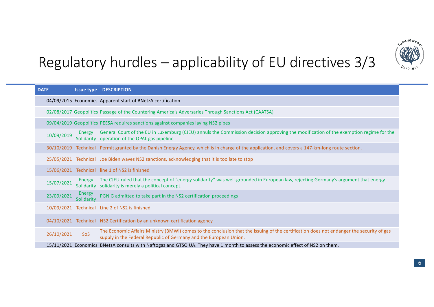

### Regulatory hurdles – applicability of EU directives 3/3

| <b>DATE</b> | <b>Issue type</b>    | <b>DESCRIPTION</b>                                                                                                                                                                                            |
|-------------|----------------------|---------------------------------------------------------------------------------------------------------------------------------------------------------------------------------------------------------------|
|             |                      | 04/09/2015 Economics Apparent start of BNetzA certification                                                                                                                                                   |
|             |                      | 02/08/2017 Geopolitics Passage of the Countering America's Adversaries Through Sanctions Act (CAATSA)                                                                                                         |
|             |                      | 09/04/2019 Geopolitics PEESA requires sanctions against companies laying NS2 pipes                                                                                                                            |
| 10/09/2019  | Energy               | General Court of the EU in Luxemburg (CJEU) annuls the Commission decision approving the modification of the exemption regime for the<br>Solidarity operation of the OPAL gas pipeline                        |
| 30/10/2019  | Technical            | Permit granted by the Danish Energy Agency, which is in charge of the application, and covers a 147-km-long route section.                                                                                    |
| 25/05/2021  |                      | Technical Joe Biden waves NS2 sanctions, acknowledging that it is too late to stop                                                                                                                            |
| 15/06/2021  | Technical            | line 1 of NS2 is finished                                                                                                                                                                                     |
| 15/07/2021  | Energy<br>Solidarity | The CJEU ruled that the concept of "energy solidarity" was well-grounded in European law, rejecting Germany's argument that energy<br>solidarity is merely a political concept.                               |
| 23/09/2021  | Energy<br>Solidarity | PGNIG admitted to take part in the NS2 certification proceedings                                                                                                                                              |
| 10/09/2021  |                      | Technical Line 2 of NS2 is finished                                                                                                                                                                           |
| 04/10/2021  | Technical            | NS2 Certification by an unknown certification agency                                                                                                                                                          |
| 26/10/2021  | <b>SoS</b>           | The Economic Affairs Ministry (BMWi) comes to the conclusion that the issuing of the certification does not endanger the security of gas<br>supply in the Federal Republic of Germany and the European Union. |
|             |                      | 15/11/2021 Economics BNetzA consults with Naftogaz and GTSO UA. They have 1 month to assess the economic effect of NS2 on them.                                                                               |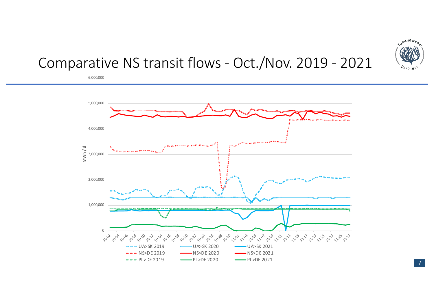

#### Comparative NS transit flows - Oct./Nov. 2019 - 2021

6,000,000



7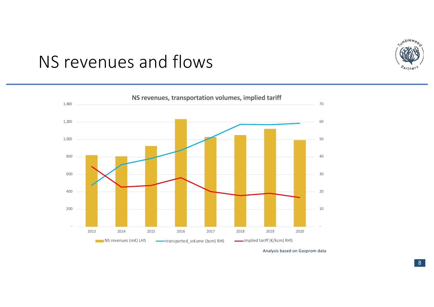

### NS revenues and flows



Analysis based on Gazprom data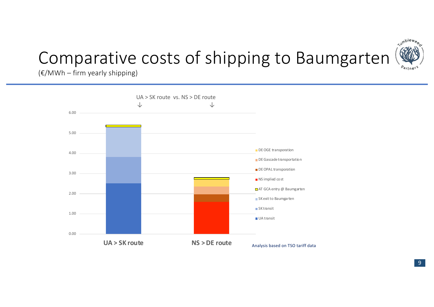### *<u>Aumblewee</u>* <sup>Pa</sup>rtne<sup>r</sup>

## Comparative costs of shipping to Baumgarten

 $(E/MWh - firm$  yearly shipping)

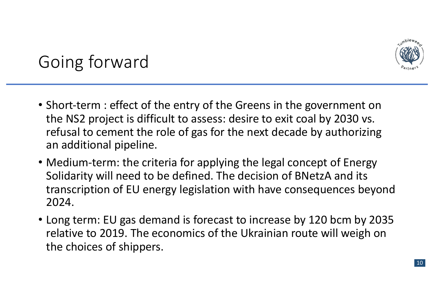

## Going forward

- Short-term : effect of the entry of the Greens in the government on the NS2 project is difficult to assess: desire to exit coal by 2030 vs. refusal to cement the role of gas for the next decade by authorizing an additional pipeline.
- Medium-term: the criteria for applying the legal concept of Energy Solidarity will need to be defined. The decision of BNetzA and its transcription of EU energy legislation with have consequences beyond 2024.
- Long term: EU gas demand is forecast to increase by 120 bcm by 2035 relative to 2019. The economics of the Ukrainian route will weigh on the choices of shippers.